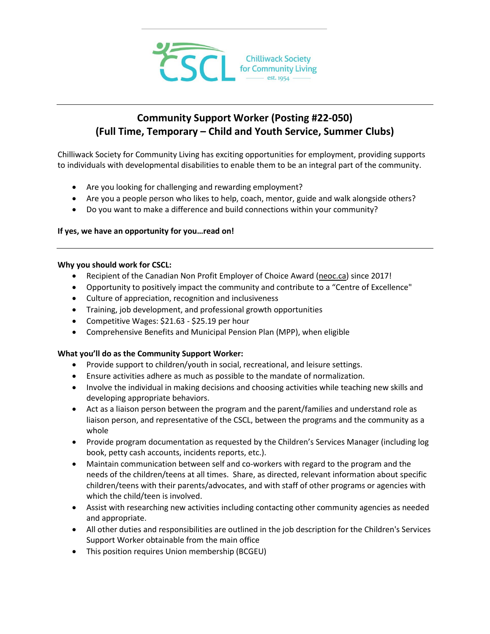

# **Community Support Worker (Posting #22-050) (Full Time, Temporary – Child and Youth Service, Summer Clubs)**

Chilliwack Society for Community Living has exciting opportunities for employment, providing supports to individuals with developmental disabilities to enable them to be an integral part of the community.

- Are you looking for challenging and rewarding employment?
- Are you a people person who likes to help, coach, mentor, guide and walk alongside others?
- Do you want to make a difference and build connections within your community?

## **If yes, we have an opportunity for you…read on!**

#### **Why you should work for CSCL:**

- Recipient of the Canadian Non Profit Employer of Choice Award [\(neoc.ca\)](http://neoc.ca/) since 2017!
- Opportunity to positively impact the community and contribute to a "Centre of Excellence"
- Culture of appreciation, recognition and inclusiveness
- Training, job development, and professional growth opportunities
- Competitive Wages: \$21.63 \$25.19 per hour
- Comprehensive Benefits and Municipal Pension Plan (MPP), when eligible

## **What you'll do as the Community Support Worker:**

- Provide support to children/youth in social, recreational, and leisure settings.
- Ensure activities adhere as much as possible to the mandate of normalization.
- Involve the individual in making decisions and choosing activities while teaching new skills and developing appropriate behaviors.
- Act as a liaison person between the program and the parent/families and understand role as liaison person, and representative of the CSCL, between the programs and the community as a whole
- Provide program documentation as requested by the Children's Services Manager (including log book, petty cash accounts, incidents reports, etc.).
- Maintain communication between self and co-workers with regard to the program and the needs of the children/teens at all times. Share, as directed, relevant information about specific children/teens with their parents/advocates, and with staff of other programs or agencies with which the child/teen is involved.
- Assist with researching new activities including contacting other community agencies as needed and appropriate.
- All other duties and responsibilities are outlined in the job description for the Children's Services Support Worker obtainable from the main office
- This position requires Union membership (BCGEU)